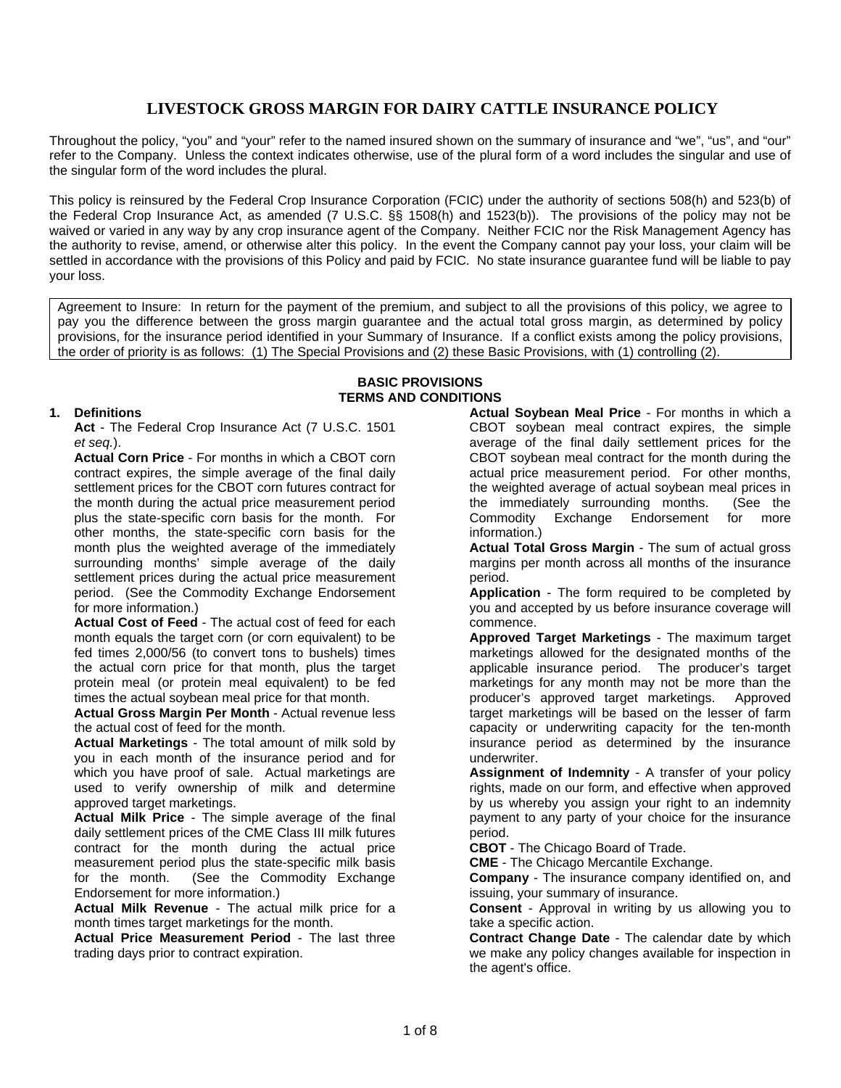# **LIVESTOCK GROSS MARGIN FOR DAIRY CATTLE INSURANCE POLICY**

Throughout the policy, "you" and "your" refer to the named insured shown on the summary of insurance and "we", "us", and "our" refer to the Company. Unless the context indicates otherwise, use of the plural form of a word includes the singular and use of the singular form of the word includes the plural.

This policy is reinsured by the Federal Crop Insurance Corporation (FCIC) under the authority of sections 508(h) and 523(b) of the Federal Crop Insurance Act, as amended (7 U.S.C. §§ 1508(h) and 1523(b)). The provisions of the policy may not be waived or varied in any way by any crop insurance agent of the Company. Neither FCIC nor the Risk Management Agency has the authority to revise, amend, or otherwise alter this policy. In the event the Company cannot pay your loss, your claim will be settled in accordance with the provisions of this Policy and paid by FCIC. No state insurance guarantee fund will be liable to pay your loss.

Agreement to Insure: In return for the payment of the premium, and subject to all the provisions of this policy, we agree to pay you the difference between the gross margin guarantee and the actual total gross margin, as determined by policy provisions, for the insurance period identified in your Summary of Insurance. If a conflict exists among the policy provisions, the order of priority is as follows: (1) The Special Provisions and (2) these Basic Provisions, with (1) controlling (2).

> **BASIC PROVISIONS TERMS AND CONDITIONS**

### **1. Definitions**

**Act** - The Federal Crop Insurance Act (7 U.S.C. 1501 *et seq.*).

**Actual Corn Price** - For months in which a CBOT corn contract expires, the simple average of the final daily settlement prices for the CBOT corn futures contract for the month during the actual price measurement period plus the state-specific corn basis for the month. For other months, the state-specific corn basis for the month plus the weighted average of the immediately surrounding months' simple average of the daily settlement prices during the actual price measurement period. (See the Commodity Exchange Endorsement for more information.)

**Actual Cost of Feed** - The actual cost of feed for each month equals the target corn (or corn equivalent) to be fed times 2,000/56 (to convert tons to bushels) times the actual corn price for that month, plus the target protein meal (or protein meal equivalent) to be fed times the actual soybean meal price for that month.

**Actual Gross Margin Per Month** - Actual revenue less the actual cost of feed for the month.

**Actual Marketings** - The total amount of milk sold by you in each month of the insurance period and for which you have proof of sale. Actual marketings are used to verify ownership of milk and determine approved target marketings.

**Actual Milk Price** - The simple average of the final daily settlement prices of the CME Class III milk futures contract for the month during the actual price measurement period plus the state-specific milk basis for the month. (See the Commodity Exchange Endorsement for more information.)

**Actual Milk Revenue** - The actual milk price for a month times target marketings for the month.

**Actual Price Measurement Period** - The last three trading days prior to contract expiration.

**Actual Soybean Meal Price** - For months in which a CBOT soybean meal contract expires, the simple average of the final daily settlement prices for the CBOT soybean meal contract for the month during the actual price measurement period. For other months, the weighted average of actual soybean meal prices in the immediately surrounding months. (See the Commodity Exchange Endorsement for more information.)

**Actual Total Gross Margin** - The sum of actual gross margins per month across all months of the insurance period.

**Application** - The form required to be completed by you and accepted by us before insurance coverage will commence.

**Approved Target Marketings** - The maximum target marketings allowed for the designated months of the applicable insurance period. The producer's target marketings for any month may not be more than the producer's approved target marketings. Approved target marketings will be based on the lesser of farm capacity or underwriting capacity for the ten-month insurance period as determined by the insurance underwriter.

**Assignment of Indemnity** - A transfer of your policy rights, made on our form, and effective when approved by us whereby you assign your right to an indemnity payment to any party of your choice for the insurance period.

**CBOT** - The Chicago Board of Trade.

**CME** - The Chicago Mercantile Exchange.

**Company** - The insurance company identified on, and issuing, your summary of insurance.

**Consent** - Approval in writing by us allowing you to take a specific action.

**Contract Change Date** - The calendar date by which we make any policy changes available for inspection in the agent's office.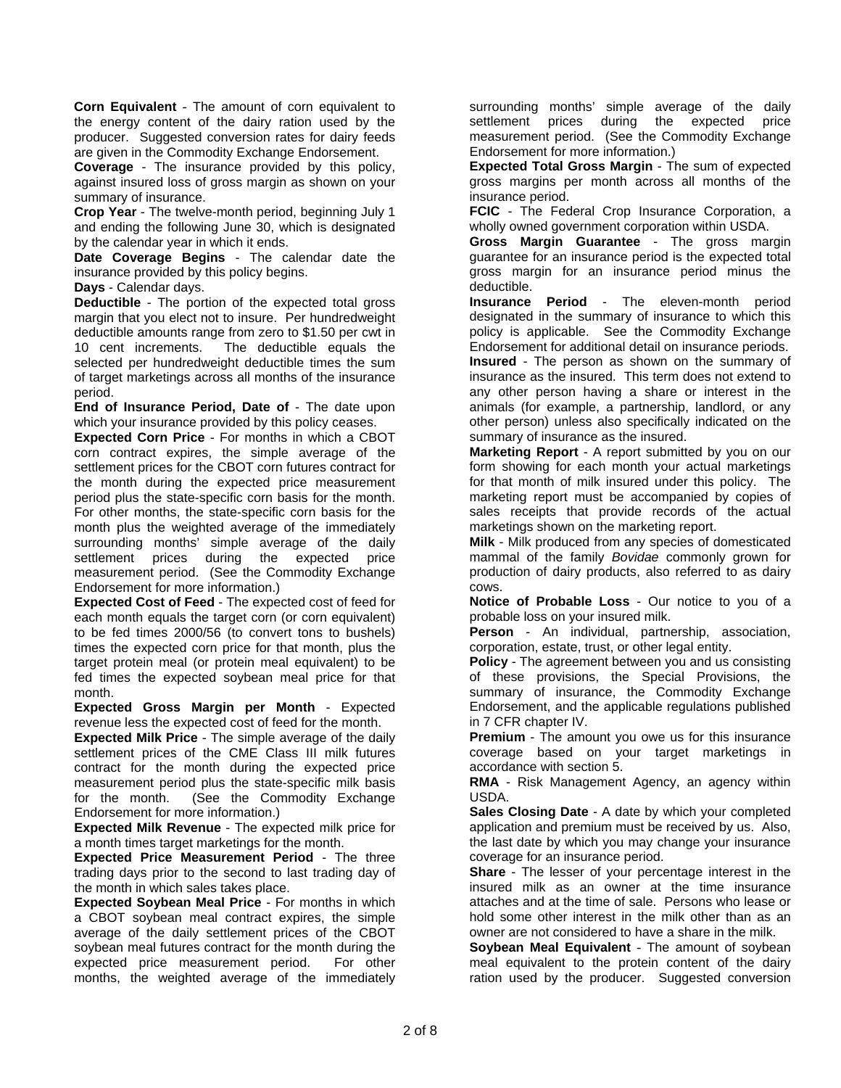**Corn Equivalent** - The amount of corn equivalent to the energy content of the dairy ration used by the producer. Suggested conversion rates for dairy feeds are given in the Commodity Exchange Endorsement.

**Coverage** - The insurance provided by this policy, against insured loss of gross margin as shown on your summary of insurance.

**Crop Year** - The twelve-month period, beginning July 1 and ending the following June 30, which is designated by the calendar year in which it ends.

**Date Coverage Begins** - The calendar date the insurance provided by this policy begins.

**Days** - Calendar days.

**Deductible** - The portion of the expected total gross margin that you elect not to insure. Per hundredweight deductible amounts range from zero to \$1.50 per cwt in 10 cent increments. The deductible equals the selected per hundredweight deductible times the sum of target marketings across all months of the insurance period.

**End of Insurance Period, Date of** - The date upon which your insurance provided by this policy ceases.

period plus the state-specific corn basis for the month. **Expected Corn Price** - For months in which a CBOT corn contract expires, the simple average of the settlement prices for the CBOT corn futures contract for the month during the expected price measurement For other months, the state-specific corn basis for the month plus the weighted average of the immediately surrounding months' simple average of the daily settlement prices during the expected price measurement period. (See the Commodity Exchange Endorsement for more information.)

**Expected Cost of Feed** - The expected cost of feed for each month equals the target corn (or corn equivalent) to be fed times 2000/56 (to convert tons to bushels) times the expected corn price for that month, plus the target protein meal (or protein meal equivalent) to be fed times the expected soybean meal price for that month.

**Expected Gross Margin per Month** - Expected revenue less the expected cost of feed for the month.

**Expected Milk Price** - The simple average of the daily settlement prices of the CME Class III milk futures contract for the month during the expected price measurement period plus the state-specific milk basis for the month. (See the Commodity Exchange Endorsement for more information.)

**Expected Milk Revenue** - The expected milk price for a month times target marketings for the month.

**Expected Price Measurement Period** - The three trading days prior to the second to last trading day of the month in which sales takes place.

**Expected Soybean Meal Price** - For months in which a CBOT soybean meal contract expires, the simple average of the daily settlement prices of the CBOT soybean meal futures contract for the month during the expected price measurement period. For other months, the weighted average of the immediately surrounding months' simple average of the daily settlement prices during the expected price measurement period. (See the Commodity Exchange Endorsement for more information.)

**Expected Total Gross Margin** - The sum of expected gross margins per month across all months of the insurance period.

**FCIC** - The Federal Crop Insurance Corporation, a wholly owned government corporation within USDA.

**Gross Margin Guarantee** - The gross margin guarantee for an insurance period is the expected total gross margin for an insurance period minus the deductible.

**Insurance Period** - The eleven-month period designated in the summary of insurance to which this policy is applicable. See the Commodity Exchange Endorsement for additional detail on insurance periods.

**Insured** - The person as shown on the summary of insurance as the insured. This term does not extend to any other person having a share or interest in the animals (for example, a partnership, landlord, or any other person) unless also specifically indicated on the summary of insurance as the insured.

**Marketing Report** - A report submitted by you on our form showing for each month your actual marketings for that month of milk insured under this policy. The marketing report must be accompanied by copies of sales receipts that provide records of the actual marketings shown on the marketing report.

**Milk** - Milk produced from any species of domesticated mammal of the family *Bovidae* commonly grown for production of dairy products, also referred to as dairy cows.

**Notice of Probable Loss** - Our notice to you of a probable loss on your insured milk.

**Person** - An individual, partnership, association, corporation, estate, trust, or other legal entity.

**Policy** - The agreement between you and us consisting of these provisions, the Special Provisions, the summary of insurance, the Commodity Exchange Endorsement, and the applicable regulations published in 7 CFR chapter IV.

**Premium** - The amount you owe us for this insurance coverage based on your target marketings in accordance with section 5.

**RMA** - Risk Management Agency, an agency within USDA.

**Sales Closing Date** - A date by which your completed application and premium must be received by us. Also, the last date by which you may change your insurance coverage for an insurance period.

**Share** - The lesser of your percentage interest in the insured milk as an owner at the time insurance attaches and at the time of sale. Persons who lease or hold some other interest in the milk other than as an owner are not considered to have a share in the milk.

**Soybean Meal Equivalent** - The amount of soybean meal equivalent to the protein content of the dairy ration used by the producer. Suggested conversion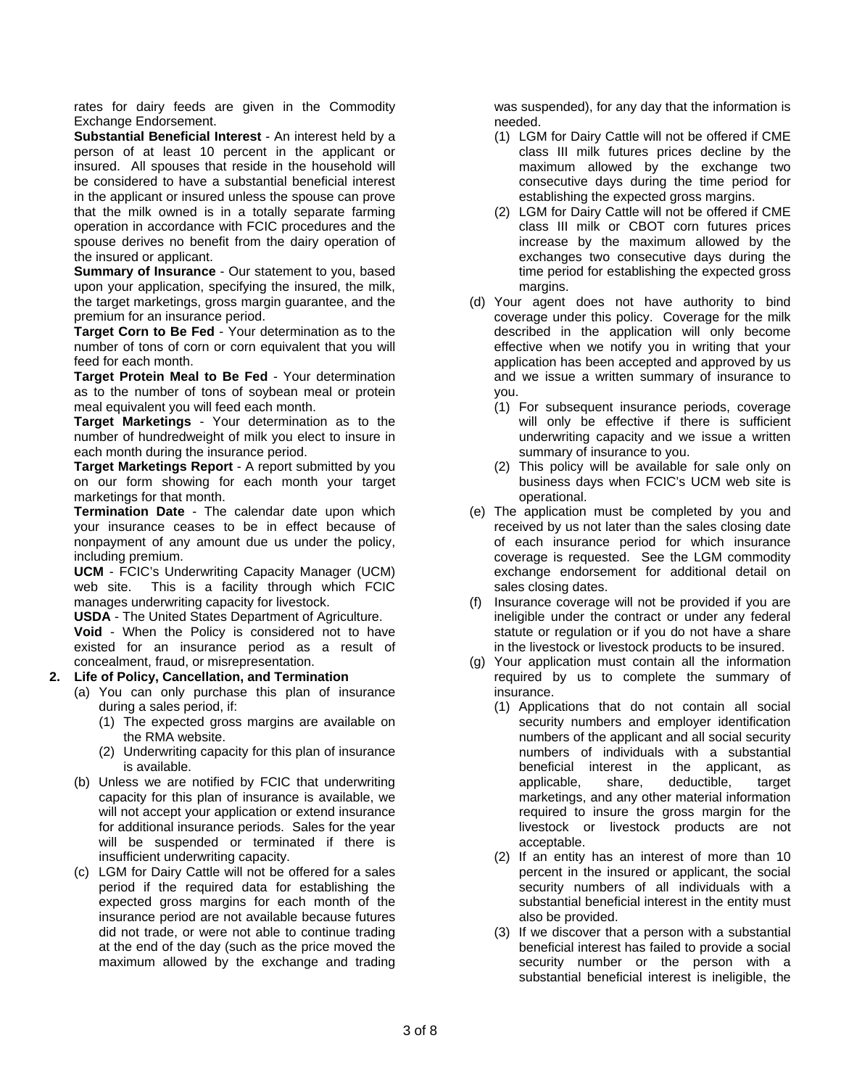rates for dairy feeds are given in the Commodity Exchange Endorsement.

**Substantial Beneficial Interest** - An interest held by a person of at least 10 percent in the applicant or insured. All spouses that reside in the household will be considered to have a substantial beneficial interest in the applicant or insured unless the spouse can prove that the milk owned is in a totally separate farming operation in accordance with FCIC procedures and the spouse derives no benefit from the dairy operation of the insured or applicant.

**Summary of Insurance** - Our statement to you, based upon your application, specifying the insured, the milk, the target marketings, gross margin guarantee, and the premium for an insurance period.

**Target Corn to Be Fed** - Your determination as to the number of tons of corn or corn equivalent that you will feed for each month.

**Target Protein Meal to Be Fed** - Your determination as to the number of tons of soybean meal or protein meal equivalent you will feed each month.

**Target Marketings** - Your determination as to the number of hundredweight of milk you elect to insure in each month during the insurance period.

**Target Marketings Report** - A report submitted by you on our form showing for each month your target marketings for that month.

**Termination Date** - The calendar date upon which your insurance ceases to be in effect because of nonpayment of any amount due us under the policy, including premium.

 web site. This is a facility through which FCIC **UCM** - FCIC's Underwriting Capacity Manager (UCM) manages underwriting capacity for livestock.

**USDA** - The United States Department of Agriculture.

**Void** - When the Policy is considered not to have existed for an insurance period as a result of concealment, fraud, or misrepresentation.

# **2. Life of Policy, Cancellation, and Termination**

- (a) You can only purchase this plan of insurance during a sales period, if:
	- (1) The expected gross margins are available on the RMA website.
	- (2) Underwriting capacity for this plan of insurance is available.
- (b) Unless we are notified by FCIC that underwriting capacity for this plan of insurance is available, we will not accept your application or extend insurance for additional insurance periods. Sales for the year will be suspended or terminated if there is insufficient underwriting capacity.
- (c) LGM for Dairy Cattle will not be offered for a sales period if the required data for establishing the expected gross margins for each month of the insurance period are not available because futures did not trade, or were not able to continue trading at the end of the day (such as the price moved the maximum allowed by the exchange and trading

was suspended), for any day that the information is needed.

- (1) LGM for Dairy Cattle will not be offered if CME class III milk futures prices decline by the maximum allowed by the exchange two consecutive days during the time period for establishing the expected gross margins.
- (2) LGM for Dairy Cattle will not be offered if CME class III milk or CBOT corn futures prices increase by the maximum allowed by the exchanges two consecutive days during the time period for establishing the expected gross margins.
- (d) Your agent does not have authority to bind coverage under this policy. Coverage for the milk described in the application will only become effective when we notify you in writing that your application has been accepted and approved by us and we issue a written summary of insurance to you.
	- (1) For subsequent insurance periods, coverage will only be effective if there is sufficient underwriting capacity and we issue a written summary of insurance to you.
	- (2) This policy will be available for sale only on business days when FCIC's UCM web site is operational.
- (e) The application must be completed by you and received by us not later than the sales closing date of each insurance period for which insurance coverage is requested. See the LGM commodity exchange endorsement for additional detail on sales closing dates.
- (f) Insurance coverage will not be provided if you are ineligible under the contract or under any federal statute or regulation or if you do not have a share in the livestock or livestock products to be insured.
- (g) Your application must contain all the information required by us to complete the summary of insurance.
	- (1) Applications that do not contain all social security numbers and employer identification numbers of the applicant and all social security numbers of individuals with a substantial beneficial interest in the applicant, as applicable, share, deductible, target marketings, and any other material information required to insure the gross margin for the livestock or livestock products are not acceptable.
	- (2) If an entity has an interest of more than 10 percent in the insured or applicant, the social security numbers of all individuals with a substantial beneficial interest in the entity must also be provided.
	- (3) If we discover that a person with a substantial beneficial interest has failed to provide a social security number or the person with a substantial beneficial interest is ineligible, the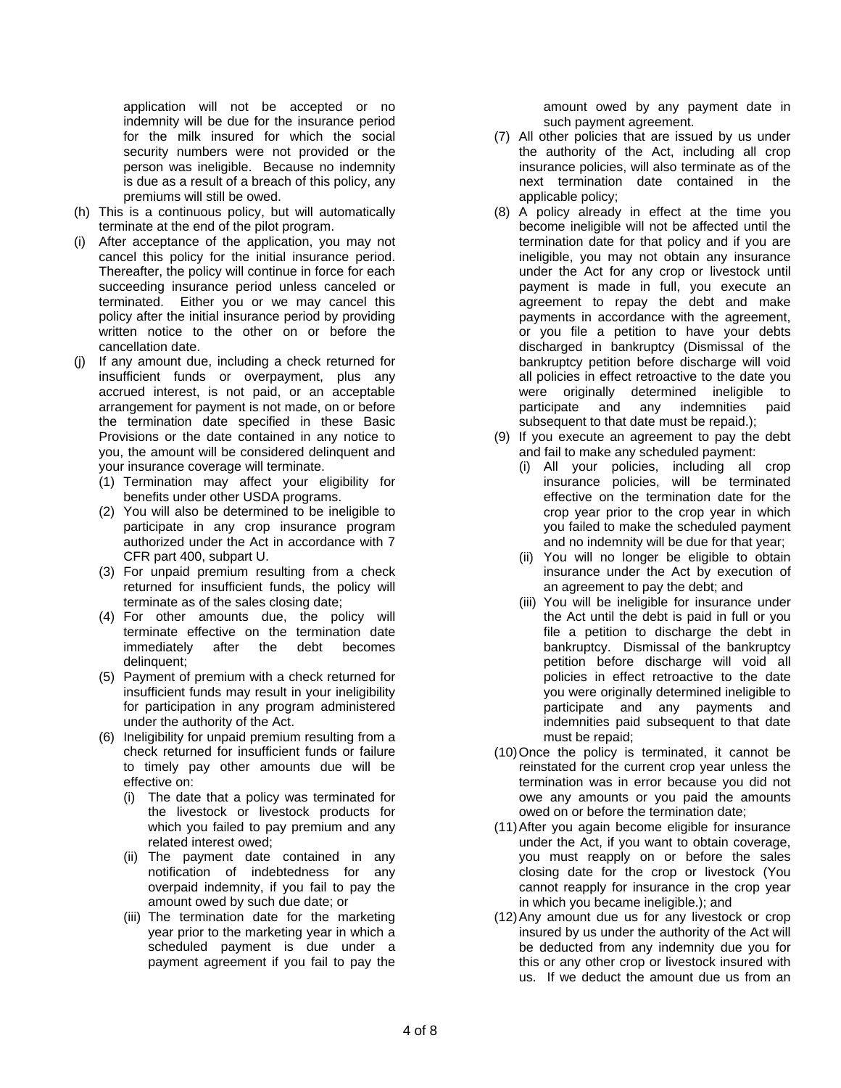application will not be accepted or no indemnity will be due for the insurance period for the milk insured for which the social security numbers were not provided or the person was ineligible. Because no indemnity is due as a result of a breach of this policy, any premiums will still be owed.

- (h) This is a continuous policy, but will automatically terminate at the end of the pilot program.
- (i) After acceptance of the application, you may not cancel this policy for the initial insurance period. Thereafter, the policy will continue in force for each succeeding insurance period unless canceled or terminated. Either you or we may cancel this policy after the initial insurance period by providing written notice to the other on or before the cancellation date.
- (j) If any amount due, including a check returned for insufficient funds or overpayment, plus any accrued interest, is not paid, or an acceptable arrangement for payment is not made, on or before the termination date specified in these Basic Provisions or the date contained in any notice to you, the amount will be considered delinquent and your insurance coverage will terminate.
	- (1) Termination may affect your eligibility for benefits under other USDA programs.
	- (2) You will also be determined to be ineligible to participate in any crop insurance program authorized under the Act in accordance with 7 CFR part 400, subpart U.
	- (3) For unpaid premium resulting from a check returned for insufficient funds, the policy will terminate as of the sales closing date;
	- (4) For other amounts due, the policy will terminate effective on the termination date immediately after the debt becomes delinquent;
	- (5) Payment of premium with a check returned for insufficient funds may result in your ineligibility for participation in any program administered under the authority of the Act.
	- (6) Ineligibility for unpaid premium resulting from a check returned for insufficient funds or failure to timely pay other amounts due will be effective on:
		- (i) The date that a policy was terminated for the livestock or livestock products for which you failed to pay premium and any related interest owed;
		- (ii) The payment date contained in any notification of indebtedness for any overpaid indemnity, if you fail to pay the amount owed by such due date; or
		- (iii) The termination date for the marketing year prior to the marketing year in which a scheduled payment is due under a payment agreement if you fail to pay the

amount owed by any payment date in such payment agreement.

- (7) All other policies that are issued by us under the authority of the Act, including all crop insurance policies, will also terminate as of the next termination date contained in the applicable policy;
- participate and any indemnities paid (8) A policy already in effect at the time you become ineligible will not be affected until the termination date for that policy and if you are ineligible, you may not obtain any insurance under the Act for any crop or livestock until payment is made in full, you execute an agreement to repay the debt and make payments in accordance with the agreement, or you file a petition to have your debts discharged in bankruptcy (Dismissal of the bankruptcy petition before discharge will void all policies in effect retroactive to the date you were originally determined ineligible to<br>participate and any indemnities paid subsequent to that date must be repaid.);
- (9) If you execute an agreement to pay the debt and fail to make any scheduled payment:
	- (i) All your policies, including all crop insurance policies, will be terminated effective on the termination date for the crop year prior to the crop year in which you failed to make the scheduled payment and no indemnity will be due for that year;
	- (ii) You will no longer be eligible to obtain insurance under the Act by execution of an agreement to pay the debt; and
	- (iii) You will be ineligible for insurance under the Act until the debt is paid in full or you file a petition to discharge the debt in bankruptcy. Dismissal of the bankruptcy petition before discharge will void all policies in effect retroactive to the date you were originally determined ineligible to participate and any payments and indemnities paid subsequent to that date must be repaid;
- (10)Once the policy is terminated, it cannot be reinstated for the current crop year unless the termination was in error because you did not owe any amounts or you paid the amounts owed on or before the termination date;
- (11)After you again become eligible for insurance under the Act, if you want to obtain coverage, you must reapply on or before the sales closing date for the crop or livestock (You cannot reapply for insurance in the crop year in which you became ineligible.); and
- (12)Any amount due us for any livestock or crop insured by us under the authority of the Act will be deducted from any indemnity due you for this or any other crop or livestock insured with us. If we deduct the amount due us from an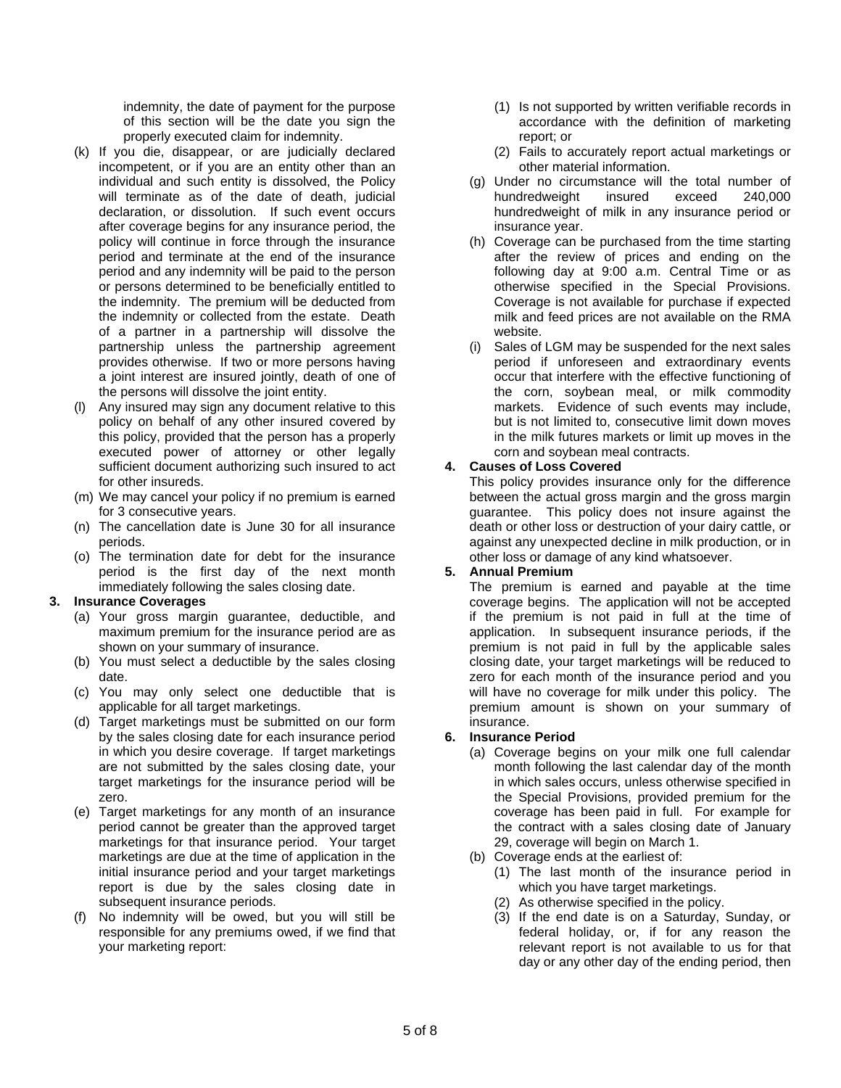indemnity, the date of payment for the purpose of this section will be the date you sign the properly executed claim for indemnity.

- (k) If you die, disappear, or are judicially declared incompetent, or if you are an entity other than an individual and such entity is dissolved, the Policy will terminate as of the date of death, judicial declaration, or dissolution. If such event occurs after coverage begins for any insurance period, the policy will continue in force through the insurance period and terminate at the end of the insurance period and any indemnity will be paid to the person or persons determined to be beneficially entitled to the indemnity. The premium will be deducted from the indemnity or collected from the estate. Death of a partner in a partnership will dissolve the partnership unless the partnership agreement provides otherwise. If two or more persons having a joint interest are insured jointly, death of one of the persons will dissolve the joint entity.
- (l) Any insured may sign any document relative to this policy on behalf of any other insured covered by this policy, provided that the person has a properly executed power of attorney or other legally sufficient document authorizing such insured to act for other insureds.
- (m) We may cancel your policy if no premium is earned for 3 consecutive years.
- (n) The cancellation date is June 30 for all insurance periods.
- (o) The termination date for debt for the insurance period is the first day of the next month immediately following the sales closing date.

#### **3. Insurance Coverages**

- (a) Your gross margin guarantee, deductible, and maximum premium for the insurance period are as shown on your summary of insurance.
- (b) You must select a deductible by the sales closing date.
- (c) You may only select one deductible that is applicable for all target marketings.
- (d) Target marketings must be submitted on our form by the sales closing date for each insurance period in which you desire coverage. If target marketings are not submitted by the sales closing date, your target marketings for the insurance period will be zero.
- (e) Target marketings for any month of an insurance period cannot be greater than the approved target marketings for that insurance period. Your target marketings are due at the time of application in the initial insurance period and your target marketings report is due by the sales closing date in subsequent insurance periods.
- (f) No indemnity will be owed, but you will still be responsible for any premiums owed, if we find that your marketing report:
- (1) Is not supported by written verifiable records in accordance with the definition of marketing report; or
- (2) Fails to accurately report actual marketings or other material information.
- (g) Under no circumstance will the total number of hundredweight insured exceed 240,000 hundredweight of milk in any insurance period or insurance year.
- (h) Coverage can be purchased from the time starting after the review of prices and ending on the following day at 9:00 a.m. Central Time or as otherwise specified in the Special Provisions. Coverage is not available for purchase if expected milk and feed prices are not available on the RMA website.
- (i) Sales of LGM may be suspended for the next sales period if unforeseen and extraordinary events occur that interfere with the effective functioning of the corn, soybean meal, or milk commodity markets. Evidence of such events may include, but is not limited to, consecutive limit down moves in the milk futures markets or limit up moves in the corn and soybean meal contracts.

#### **4. Causes of Loss Covered**

This policy provides insurance only for the difference between the actual gross margin and the gross margin guarantee. This policy does not insure against the death or other loss or destruction of your dairy cattle, or against any unexpected decline in milk production, or in other loss or damage of any kind whatsoever.

#### **5. Annual Premium**

The premium is earned and payable at the time coverage begins. The application will not be accepted if the premium is not paid in full at the time of application. In subsequent insurance periods, if the premium is not paid in full by the applicable sales closing date, your target marketings will be reduced to zero for each month of the insurance period and you will have no coverage for milk under this policy. The premium amount is shown on your summary of insurance.

#### **6. Insurance Period**

- (a) Coverage begins on your milk one full calendar month following the last calendar day of the month in which sales occurs, unless otherwise specified in the Special Provisions, provided premium for the coverage has been paid in full. For example for the contract with a sales closing date of January 29, coverage will begin on March 1.
- (b) Coverage ends at the earliest of:
	- (1) The last month of the insurance period in which you have target marketings.
	- (2) As otherwise specified in the policy.
	- (3) If the end date is on a Saturday, Sunday, or federal holiday, or, if for any reason the relevant report is not available to us for that day or any other day of the ending period, then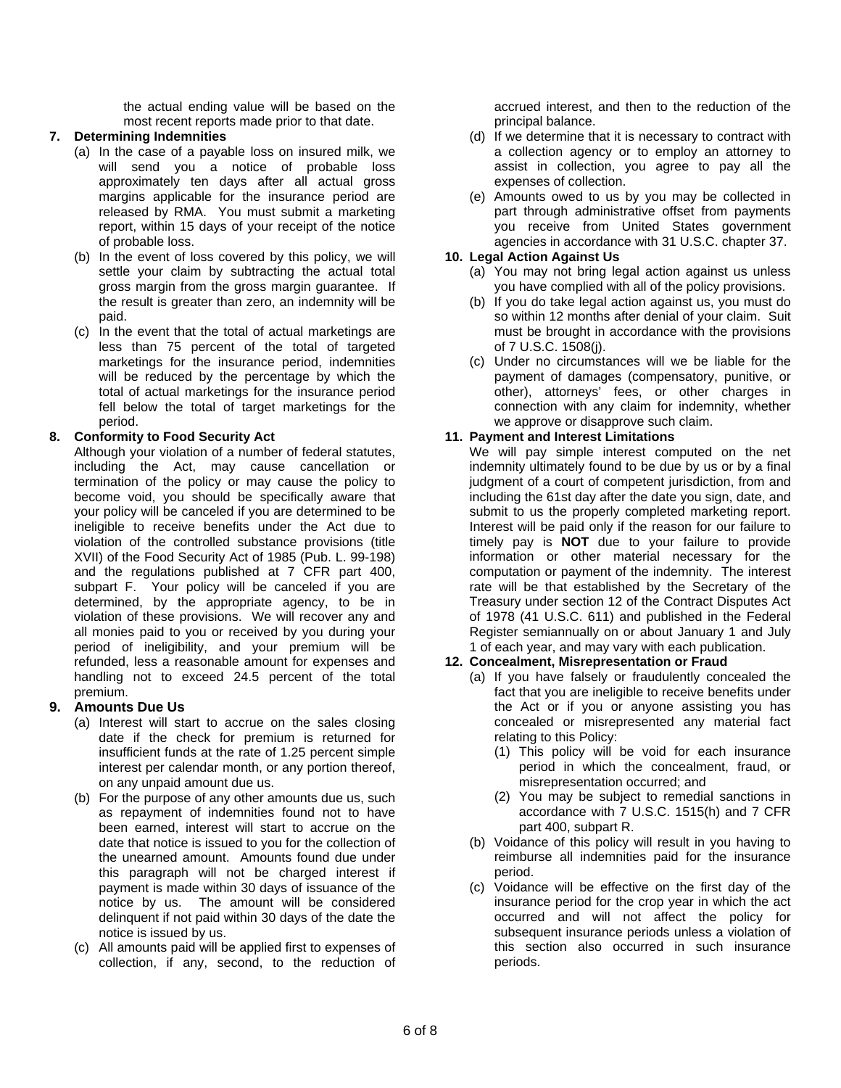the actual ending value will be based on the most recent reports made prior to that date.

### **7. Determining Indemnities**

- (a) In the case of a payable loss on insured milk, we will send you a notice of probable loss approximately ten days after all actual gross margins applicable for the insurance period are released by RMA. You must submit a marketing report, within 15 days of your receipt of the notice of probable loss.
- (b) In the event of loss covered by this policy, we will settle your claim by subtracting the actual total gross margin from the gross margin guarantee. If the result is greater than zero, an indemnity will be paid.
- (c) In the event that the total of actual marketings are less than 75 percent of the total of targeted marketings for the insurance period, indemnities will be reduced by the percentage by which the total of actual marketings for the insurance period fell below the total of target marketings for the period.

### **8. Conformity to Food Security Act**

Although your violation of a number of federal statutes, including the Act, may cause cancellation or termination of the policy or may cause the policy to become void, you should be specifically aware that your policy will be canceled if you are determined to be ineligible to receive benefits under the Act due to violation of the controlled substance provisions (title XVII) of the Food Security Act of 1985 (Pub. L. 99-198) and the regulations published at 7 CFR part 400, subpart F. Your policy will be canceled if you are determined, by the appropriate agency, to be in violation of these provisions. We will recover any and all monies paid to you or received by you during your period of ineligibility, and your premium will be refunded, less a reasonable amount for expenses and handling not to exceed 24.5 percent of the total premium.

# **9. Amounts Due Us**

- (a) Interest will start to accrue on the sales closing date if the check for premium is returned for insufficient funds at the rate of 1.25 percent simple interest per calendar month, or any portion thereof, on any unpaid amount due us.
- (b) For the purpose of any other amounts due us, such as repayment of indemnities found not to have been earned, interest will start to accrue on the date that notice is issued to you for the collection of the unearned amount. Amounts found due under this paragraph will not be charged interest if payment is made within 30 days of issuance of the notice by us. The amount will be considered delinquent if not paid within 30 days of the date the notice is issued by us.
- (c) All amounts paid will be applied first to expenses of collection, if any, second, to the reduction of

accrued interest, and then to the reduction of the principal balance.

- (d) If we determine that it is necessary to contract with a collection agency or to employ an attorney to assist in collection, you agree to pay all the expenses of collection.
- (e) Amounts owed to us by you may be collected in part through administrative offset from payments you receive from United States government agencies in accordance with 31 U.S.C. chapter 37.

### **10. Legal Action Against Us**

- (a) You may not bring legal action against us unless you have complied with all of the policy provisions.
- (b) If you do take legal action against us, you must do so within 12 months after denial of your claim. Suit must be brought in accordance with the provisions of 7 U.S.C. 1508(j).
- (c) Under no circumstances will we be liable for the payment of damages (compensatory, punitive, or other), attorneys' fees, or other charges in connection with any claim for indemnity, whether we approve or disapprove such claim.

### **11. Payment and Interest Limitations**

We will pay simple interest computed on the net indemnity ultimately found to be due by us or by a final judgment of a court of competent jurisdiction, from and including the 61st day after the date you sign, date, and submit to us the properly completed marketing report. Interest will be paid only if the reason for our failure to timely pay is **NOT** due to your failure to provide information or other material necessary for the computation or payment of the indemnity. The interest rate will be that established by the Secretary of the Treasury under section 12 of the Contract Disputes Act of 1978 (41 U.S.C. 611) and published in the Federal Register semiannually on or about January 1 and July 1 of each year, and may vary with each publication.

# **12. Concealment, Misrepresentation or Fraud**

- (a) If you have falsely or fraudulently concealed the fact that you are ineligible to receive benefits under the Act or if you or anyone assisting you has concealed or misrepresented any material fact relating to this Policy:
	- (1) This policy will be void for each insurance period in which the concealment, fraud, or misrepresentation occurred; and
	- (2) You may be subject to remedial sanctions in accordance with 7 U.S.C. 1515(h) and 7 CFR part 400, subpart R.
- (b) Voidance of this policy will result in you having to reimburse all indemnities paid for the insurance period.
- (c) Voidance will be effective on the first day of the insurance period for the crop year in which the act occurred and will not affect the policy for subsequent insurance periods unless a violation of this section also occurred in such insurance periods.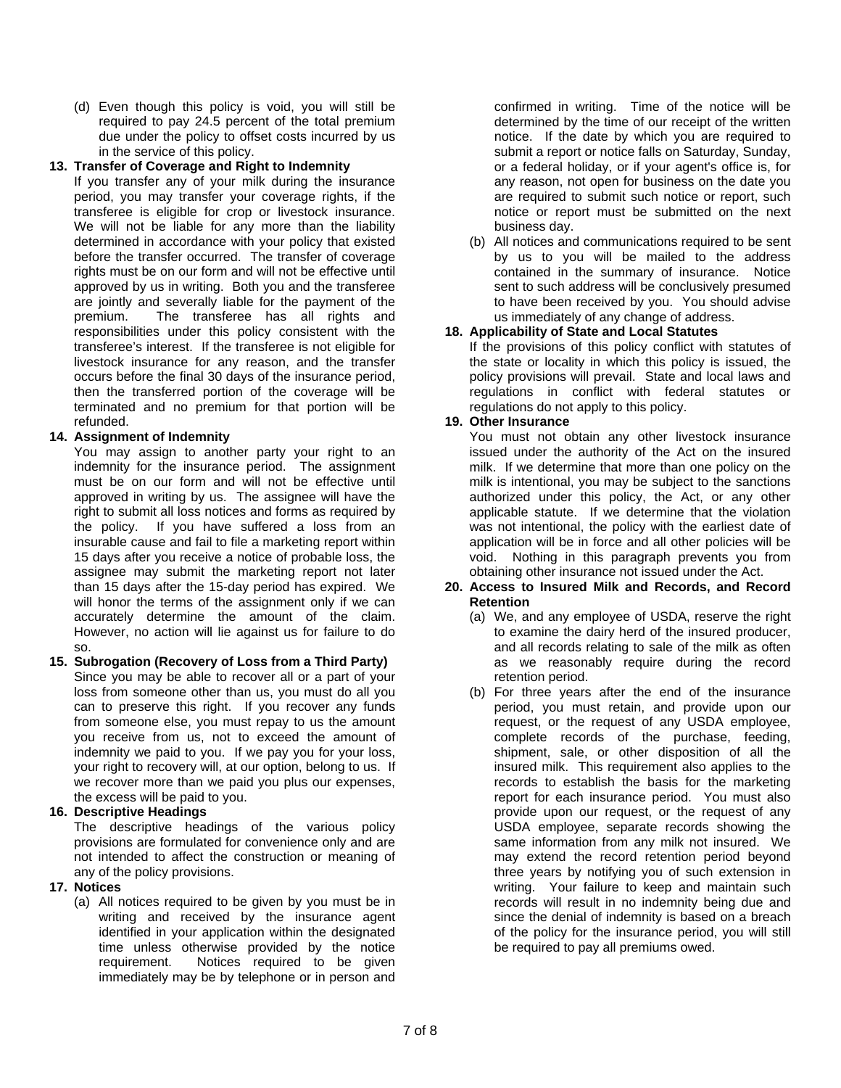(d) Even though this policy is void, you will still be required to pay 24.5 percent of the total premium due under the policy to offset costs incurred by us in the service of this policy.

#### **13. Transfer of Coverage and Right to Indemnity**

transferee is eligible for crop or livestock insurance. If you transfer any of your milk during the insurance period, you may transfer your coverage rights, if the We will not be liable for any more than the liability determined in accordance with your policy that existed before the transfer occurred. The transfer of coverage rights must be on our form and will not be effective until approved by us in writing. Both you and the transferee are jointly and severally liable for the payment of the premium. The transferee has all rights and responsibilities under this policy consistent with the transferee's interest. If the transferee is not eligible for livestock insurance for any reason, and the transfer occurs before the final 30 days of the insurance period, then the transferred portion of the coverage will be terminated and no premium for that portion will be refunded.

# **14. Assignment of Indemnity**

 accurately determine the amount of the claim. However, no action will lie against us for failure to do You may assign to another party your right to an indemnity for the insurance period. The assignment must be on our form and will not be effective until approved in writing by us. The assignee will have the right to submit all loss notices and forms as required by the policy. If you have suffered a loss from an insurable cause and fail to file a marketing report within 15 days after you receive a notice of probable loss, the assignee may submit the marketing report not later than 15 days after the 15-day period has expired. We will honor the terms of the assignment only if we can so.

#### **15. Subrogation (Recovery of Loss from a Third Party)**  Since you may be able to recover all or a part of your loss from someone other than us, you must do all you can to preserve this right. If you recover any funds from someone else, you must repay to us the amount you receive from us, not to exceed the amount of indemnity we paid to you. If we pay you for your loss, your right to recovery will, at our option, belong to us. If we recover more than we paid you plus our expenses, the excess will be paid to you.

### **16. Descriptive Headings**

The descriptive headings of the various policy provisions are formulated for convenience only and are not intended to affect the construction or meaning of any of the policy provisions.

#### **17. Notices**

(a) All notices required to be given by you must be in writing and received by the insurance agent identified in your application within the designated time unless otherwise provided by the notice requirement. Notices required to be given immediately may be by telephone or in person and

confirmed in writing. Time of the notice will be determined by the time of our receipt of the written notice. If the date by which you are required to submit a report or notice falls on Saturday, Sunday, or a federal holiday, or if your agent's office is, for any reason, not open for business on the date you are required to submit such notice or report, such notice or report must be submitted on the next business day.

(b) All notices and communications required to be sent by us to you will be mailed to the address contained in the summary of insurance. Notice sent to such address will be conclusively presumed to have been received by you. You should advise us immediately of any change of address.

### **18. Applicability of State and Local Statutes**

If the provisions of this policy conflict with statutes of the state or locality in which this policy is issued, the policy provisions will prevail. State and local laws and regulations in conflict with federal statutes or regulations do not apply to this policy.

### **19. Other Insurance**

You must not obtain any other livestock insurance issued under the authority of the Act on the insured milk. If we determine that more than one policy on the milk is intentional, you may be subject to the sanctions authorized under this policy, the Act, or any other applicable statute. If we determine that the violation was not intentional, the policy with the earliest date of application will be in force and all other policies will be void. Nothing in this paragraph prevents you from obtaining other insurance not issued under the Act.

#### **20. Access to Insured Milk and Records, and Record Retention**

- (a) We, and any employee of USDA, reserve the right to examine the dairy herd of the insured producer, and all records relating to sale of the milk as often as we reasonably require during the record retention period.
- (b) For three years after the end of the insurance period, you must retain, and provide upon our request, or the request of any USDA employee, complete records of the purchase, feeding, shipment, sale, or other disposition of all the insured milk. This requirement also applies to the records to establish the basis for the marketing report for each insurance period. You must also provide upon our request, or the request of any USDA employee, separate records showing the same information from any milk not insured. We may extend the record retention period beyond three years by notifying you of such extension in writing. Your failure to keep and maintain such records will result in no indemnity being due and since the denial of indemnity is based on a breach of the policy for the insurance period, you will still be required to pay all premiums owed.